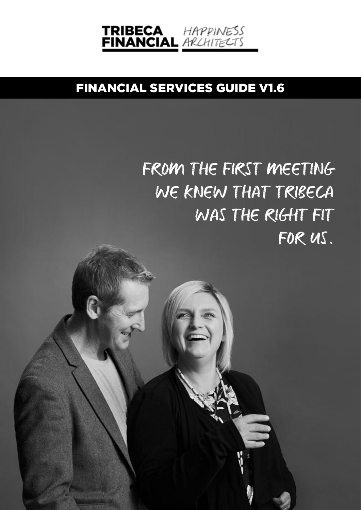

# FINANCIAL SERVICES GUIDE V1.6

# FROM THE FIRST MEETING WE KNEW THAT TRIBECA WAS THE RIGHT FIT FOR US.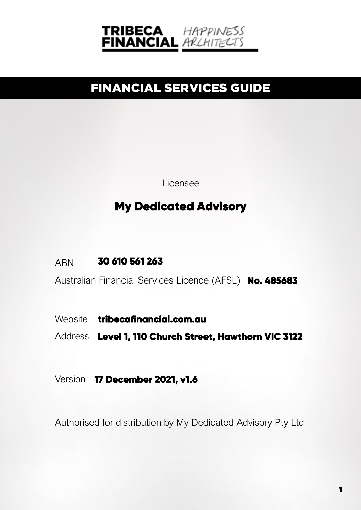

# FINANCIAL SERVICES GUIDE

Licensee

## **My Dedicated Advisory**

ABN **30 610 561 263**

Australian Financial Services Licence (AFSL) **No. 485683**

Website **[tribecafinancial.com.au](https://www.tribecafinancial.com.au/)**

Address **Level 1, 110 Church Street, Hawthorn VIC 3122**

Version **17 December 2021, v1.6**

Authorised for distribution by My Dedicated Advisory Pty Ltd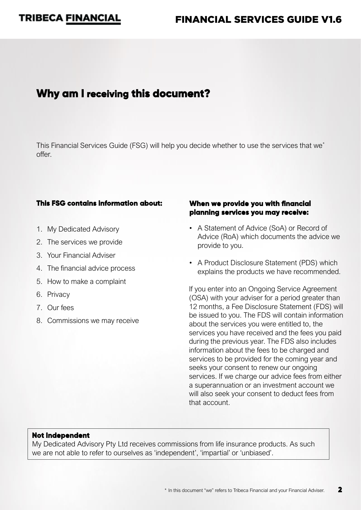### FINANCIAL SERVICES GUIDE V1.6

### **Why am I receiving this document?**

This Financial Services Guide (FSG) will help you decide whether to use the services that we\* offer.

#### **This FSG contains information about:**

- 1. My Dedicated Advisory
- 2. The services we provide
- 3. Your Financial Adviser
- 4. The financial advice process
- 5. How to make a complaint
- 6. Privacy
- 7. Our fees
- 8. Commissions we may receive

#### **When we provide you with financial planning services you may receive:**

- A Statement of Advice (SoA) or Record of Advice (RoA) which documents the advice we provide to you.
- A Product Disclosure Statement (PDS) which explains the products we have recommended.

If you enter into an Ongoing Service Agreement (OSA) with your adviser for a period greater than 12 months, a Fee Disclosure Statement (FDS) will be issued to you. The FDS will contain information about the services you were entitled to, the services you have received and the fees you paid during the previous year. The FDS also includes information about the fees to be charged and services to be provided for the coming year and seeks your consent to renew our ongoing services. If we charge our advice fees from either a superannuation or an investment account we will also seek your consent to deduct fees from that account.

#### **Not Independent**

My Dedicated Advisory Pty Ltd receives commissions from life insurance products. As such we are not able to refer to ourselves as 'independent', 'impartial' or 'unbiased'.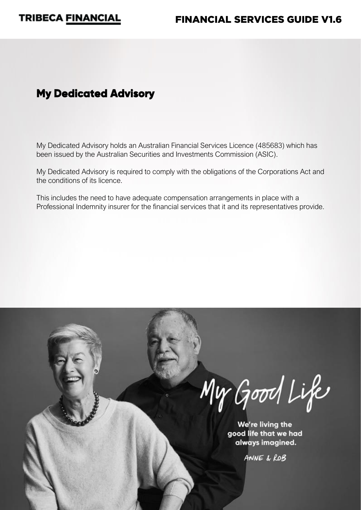

### **My Dedicated Advisory**

My Dedicated Advisory holds an Australian Financial Services Licence (485683) which has been issued by the Australian Securities and Investments Commission (ASIC).

My Dedicated Advisory is required to comply with the obligations of the Corporations Act and the conditions of its licence.

This includes the need to have adequate compensation arrangements in place with a Professional Indemnity insurer for the financial services that it and its representatives provide.

My Good Life

We're living the good life that we had always imagined.

ANNE & ROB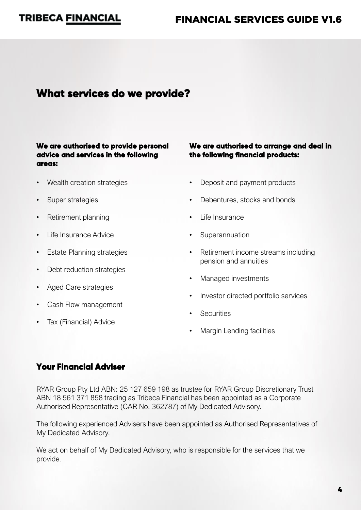### FINANCIAL SERVICES GUIDE V1.6

### **What services do we provide?**

#### **We are authorised to provide personal advice and services in the following areas:**

- Wealth creation strategies
- Super strategies
- Retirement planning
- Life Insurance Advice
- Estate Planning strategies
- Debt reduction strategies
- Aged Care strategies
- Cash Flow management
- Tax (Financial) Advice

#### **We are authorised to arrange and deal in the following financial products:**

- Deposit and payment products
- Debentures, stocks and bonds
- Life Insurance
- **Superannuation**
- Retirement income streams including pension and annuities
- Managed investments
- Investor directed portfolio services
- **Securities**
- Margin Lending facilities

#### **Your Financial Adviser**

RYAR Group Pty Ltd ABN: 25 127 659 198 as trustee for RYAR Group Discretionary Trust ABN 18 561 371 858 trading as Tribeca Financial has been appointed as a Corporate Authorised Representative (CAR No. 362787) of My Dedicated Advisory.

The following experienced Advisers have been appointed as Authorised Representatives of My Dedicated Advisory.

We act on behalf of My Dedicated Advisory, who is responsible for the services that we provide.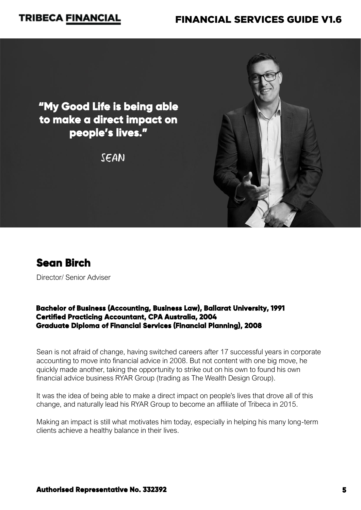### FINANCIAL SERVICES GUIDE V1.6

**"My Good Life is being able to make a direct impact on people's lives."** 

SEAN





Director/ Senior Adviser

#### **Bachelor of Business (Accounting, Business Law), Ballarat University, 1991 Certified Practicing Accountant, CPA Australia, 2004 Graduate Diploma of Financial Services (Financial Planning), 2008**

Sean is not afraid of change, having switched careers after 17 successful years in corporate accounting to move into financial advice in 2008. But not content with one big move, he quickly made another, taking the opportunity to strike out on his own to found his own financial advice business RYAR Group (trading as The Wealth Design Group).

It was the idea of being able to make a direct impact on people's lives that drove all of this change, and naturally lead his RYAR Group to become an affiliate of Tribeca in 2015.

Making an impact is still what motivates him today, especially in helping his many long-term clients achieve a healthy balance in their lives.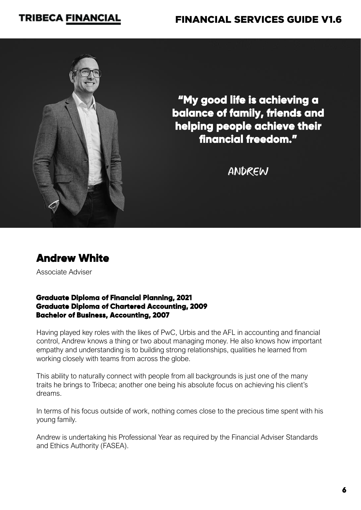### FINANCIAL SERVICES GUIDE V1.6



**"My good life is achieving a balance of family, friends and helping people achieve their financial freedom."** 

ANDREW

### **[Andrew](https://www.tribecafinancial.com.au/sj-turner/) White**

Associate Adviser

#### **Graduate Diploma of Financial Planning, 2021 Graduate Diploma of Chartered Accounting, 2009 Bachelor of Business, Accounting, 2007**

Having played key roles with the likes of PwC, Urbis and the AFL in accounting and financial control, Andrew knows a thing or two about managing money. He also knows how important empathy and understanding is to building strong relationships, qualities he learned from working closely with teams from across the globe.

This ability to naturally connect with people from all backgrounds is just one of the many traits he brings to Tribeca; another one being his absolute focus on achieving his client's dreams.

In terms of his focus outside of work, nothing comes close to the precious time spent with his young family.

Andrew is undertaking his Professional Year as required by the Financial Adviser Standards and Ethics Authority (FASEA).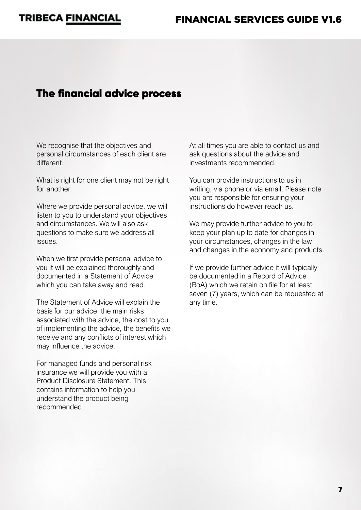### **The financial advice process**

We recognise that the objectives and personal circumstances of each client are different.

What is right for one client may not be right for another.

Where we provide personal advice, we will listen to you to understand your objectives and circumstances. We will also ask questions to make sure we address all issues.

When we first provide personal advice to you it will be explained thoroughly and documented in a Statement of Advice which you can take away and read.

The Statement of Advice will explain the basis for our advice, the main risks associated with the advice, the cost to you of implementing the advice, the benefits we receive and any conflicts of interest which may influence the advice.

For managed funds and personal risk insurance we will provide you with a Product Disclosure Statement. This contains information to help you understand the product being recommended.

At all times you are able to contact us and ask questions about the advice and investments recommended.

You can provide instructions to us in writing, via phone or via email. Please note you are responsible for ensuring your instructions do however reach us.

We may provide further advice to you to keep your plan up to date for changes in your circumstances, changes in the law and changes in the economy and products.

If we provide further advice it will typically be documented in a Record of Advice (RoA) which we retain on file for at least seven (7) years, which can be requested at any time.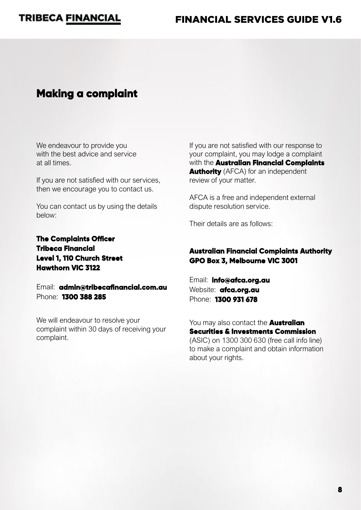### **Making a complaint**

We endeavour to provide you with the best advice and service at all times.

If you are not satisfied with our services, then we encourage you to contact us.

You can contact us by using the details below:

**The Complaints Officer Tribeca Financial Level 1, 110 Church Street Hawthorn VIC 3122**

Email: **[admin@tribecafinancial.com.au](mailto:admin@tribecafinancial.com.au)** Phone: **1300 388 285**

We will endeavour to resolve your complaint within 30 days of receiving your complaint.

If you are not satisfied with our response to your complaint, you may lodge a complaint with the **Australian Financial Complaints Authority** (AFCA) for an independent review of your matter.

AFCA is a free and independent external dispute resolution service.

Their details are as follows:

#### **Australian Financial Complaints Authority GPO Box 3, Melbourne VIC 3001**

Email: **[info@afca.org.au](mailto:info@afca.org.au)**  Website: **[afca.org.au](https://afca.org.au/)**  Phone: **1300 931 678**

You may also contact the **Australian Securities & Investments Commission** (ASIC) on 1300 300 630 (free call info line) to make a complaint and obtain information about your rights.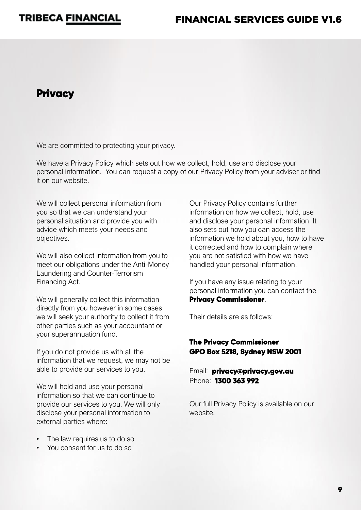### **Privacy**

We are committed to protecting your privacy.

We have a Privacy Policy which sets out how we collect, hold, use and disclose your personal information. You can request a copy of our Privacy Policy from your adviser or find it on our website.

We will collect personal information from you so that we can understand your personal situation and provide you with advice which meets your needs and objectives.

We will also collect information from you to meet our obligations under the Anti-Money Laundering and Counter-Terrorism Financing Act.

We will generally collect this information directly from you however in some cases we will seek your authority to collect it from other parties such as your accountant or your superannuation fund.

If you do not provide us with all the information that we request, we may not be able to provide our services to you.

We will hold and use your personal information so that we can continue to provide our services to you. We will only disclose your personal information to external parties where:

- The law requires us to do so
- You consent for us to do so

Our Privacy Policy contains further information on how we collect, hold, use and disclose your personal information. It also sets out how you can access the information we hold about you, how to have it corrected and how to complain where you are not satisfied with how we have handled your personal information.

If you have any issue relating to your personal information you can contact the **Privacy Commissioner**.

Their details are as follows:

#### **The Privacy Commissioner GPO Box 5218, Sydney NSW 2001**

Email: **[privacy@privacy.gov.au](mailto:privacy@privacy.gov.au)** Phone: **1300 363 992**

Our full Privacy Policy is available on our website.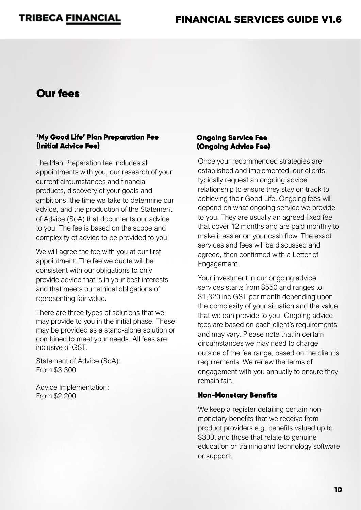### **Our fees**

#### **'My Good Life' Plan Preparation Fee (Initial Advice Fee)**

The Plan Preparation fee includes all appointments with you, our research of your current circumstances and financial products, discovery of your goals and ambitions, the time we take to determine our advice, and the production of the Statement of Advice (SoA) that documents our advice to you. The fee is based on the scope and complexity of advice to be provided to you.

We will agree the fee with you at our first appointment. The fee we quote will be consistent with our obligations to only provide advice that is in your best interests and that meets our ethical obligations of representing fair value.

There are three types of solutions that we may provide to you in the initial phase. These may be provided as a stand-alone solution or combined to meet your needs. All fees are inclusive of GST.

Statement of Advice (SoA): From \$3,300

Advice Implementation: From \$2,200

#### **Ongoing Service Fee (Ongoing Advice Fee)**

Once your recommended strategies are established and implemented, our clients typically request an ongoing advice relationship to ensure they stay on track to achieving their Good Life. Ongoing fees will depend on what ongoing service we provide to you. They are usually an agreed fixed fee that cover 12 months and are paid monthly to make it easier on your cash flow. The exact services and fees will be discussed and agreed, then confirmed with a Letter of Engagement.

Your investment in our ongoing advice services starts from \$550 and ranges to \$1,320 inc GST per month depending upon the complexity of your situation and the value that we can provide to you. Ongoing advice fees are based on each client's requirements and may vary. Please note that in certain circumstances we may need to charge outside of the fee range, based on the client's requirements. We renew the terms of engagement with you annually to ensure they remain fair.

#### **Non-Monetary Benefits**

We keep a register detailing certain nonmonetary benefits that we receive from product providers e.g. benefits valued up to \$300, and those that relate to genuine education or training and technology software or support.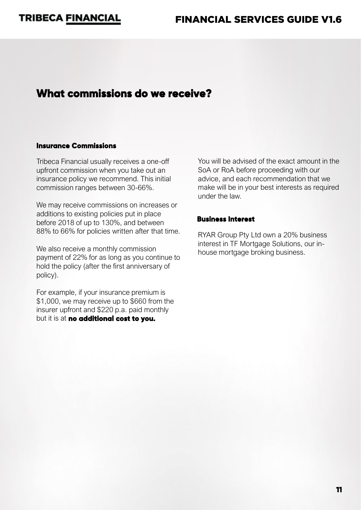### **What commissions do we receive?**

#### **Insurance Commissions**

Tribeca Financial usually receives a one-off upfront commission when you take out an insurance policy we recommend. This initial commission ranges between 30-66%.

We may receive commissions on increases or additions to existing policies put in place before 2018 of up to 130%, and between 88% to 66% for policies written after that time.

We also receive a monthly commission payment of 22% for as long as you continue to hold the policy (after the first anniversary of policy).

For example, if your insurance premium is \$1,000, we may receive up to \$660 from the insurer upfront and \$220 p.a. paid monthly but it is at **no additional cost to you.**

You will be advised of the exact amount in the SoA or RoA before proceeding with our advice, and each recommendation that we make will be in your best interests as required under the law.

#### **Business Interest**

RYAR Group Pty Ltd own a 20% business interest in TF Mortgage Solutions, our inhouse mortgage broking business.